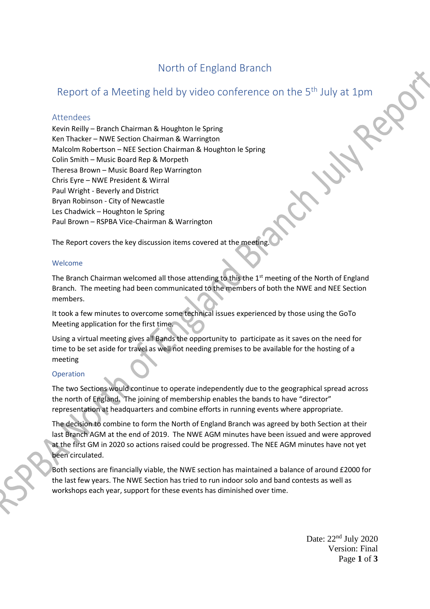# North of England Branch

# Report of a Meeting held by video conference on the 5<sup>th</sup> July at 1pm

#### Attendees

Kevin Reilly – Branch Chairman & Houghton le Spring Ken Thacker – NWE Section Chairman & Warrington Malcolm Robertson – NEE Section Chairman & Houghton le Spring Colin Smith – Music Board Rep & Morpeth Theresa Brown – Music Board Rep Warrington Chris Eyre – NWE President & Wirral Paul Wright - Beverly and District Bryan Robinson - City of Newcastle Les Chadwick – Houghton le Spring Paul Brown – RSPBA Vice-Chairman & Warrington

The Report covers the key discussion items covered at the meeting.

#### Welcome

The Branch Chairman welcomed all those attending to this the  $1<sup>st</sup>$  meeting of the North of England Branch. The meeting had been communicated to the members of both the NWE and NEE Section members.

It took a few minutes to overcome some technical issues experienced by those using the GoTo Meeting application for the first time.

Using a virtual meeting gives all Bands the opportunity to participate as it saves on the need for time to be set aside for travel as well not needing premises to be available for the hosting of a meeting

#### Operation

The two Sections would continue to operate independently due to the geographical spread across the north of England. The joining of membership enables the bands to have "director" representation at headquarters and combine efforts in running events where appropriate.

The decision to combine to form the North of England Branch was agreed by both Section at their last Branch AGM at the end of 2019. The NWE AGM minutes have been issued and were approved at the first GM in 2020 so actions raised could be progressed. The NEE AGM minutes have not yet been circulated.

Both sections are financially viable, the NWE section has maintained a balance of around £2000 for the last few years. The NWE Section has tried to run indoor solo and band contests as well as workshops each year, support for these events has diminished over time.

> Date:  $22<sup>nd</sup>$  July 2020 Version: Final Page **1** of **3**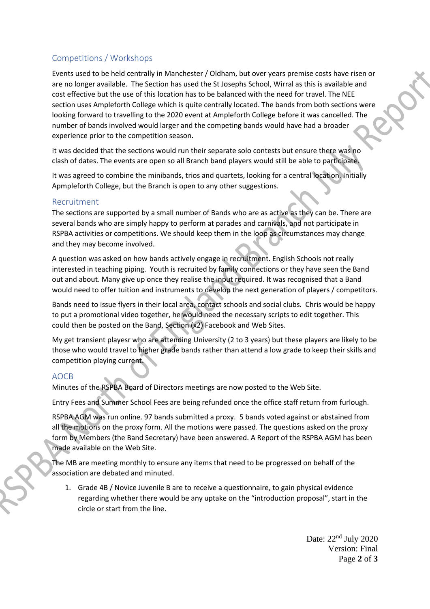## Competitions / Workshops

Events used to be held centrally in Manchester / Oldham, but over years premise costs have risen or are no longer available. The Section has used the St Josephs School, Wirral as this is available and cost effective but the use of this location has to be balanced with the need for travel. The NEE section uses Ampleforth College which is quite centrally located. The bands from both sections were looking forward to travelling to the 2020 event at Ampleforth College before it was cancelled. The number of bands involved would larger and the competing bands would have had a broader experience prior to the competition season.

It was decided that the sections would run their separate solo contests but ensure there was no clash of dates. The events are open so all Branch band players would still be able to participate.

It was agreed to combine the minibands, trios and quartets, looking for a central location. Initially Apmpleforth College, but the Branch is open to any other suggestions.

### Recruitment

The sections are supported by a small number of Bands who are as active as they can be. There are several bands who are simply happy to perform at parades and carnivals, and not participate in RSPBA activities or competitions. We should keep them in the loop as circumstances may change and they may become involved.

A question was asked on how bands actively engage in recruitment. English Schools not really interested in teaching piping. Youth is recruited by family connections or they have seen the Band out and about. Many give up once they realise the input required. It was recognised that a Band would need to offer tuition and instruments to develop the next generation of players / competitors.

Bands need to issue flyers in their local area, contact schools and social clubs. Chris would be happy to put a promotional video together, he would need the necessary scripts to edit together. This could then be posted on the Band, Section (x2) Facebook and Web Sites.

My get transient playesr who are attending University (2 to 3 years) but these players are likely to be those who would travel to higher grade bands rather than attend a low grade to keep their skills and competition playing current.

### AOCB

Minutes of the RSPBA Board of Directors meetings are now posted to the Web Site.

Entry Fees and Summer School Fees are being refunded once the office staff return from furlough.

RSPBA AGM was run online. 97 bands submitted a proxy. 5 bands voted against or abstained from all the motions on the proxy form. All the motions were passed. The questions asked on the proxy form by Members (the Band Secretary) have been answered. A Report of the RSPBA AGM has been made available on the Web Site.

The MB are meeting monthly to ensure any items that need to be progressed on behalf of the association are debated and minuted.

1. Grade 4B / Novice Juvenile B are to receive a questionnaire, to gain physical evidence regarding whether there would be any uptake on the "introduction proposal", start in the circle or start from the line.

> Date:  $22<sup>nd</sup>$  July 2020 Version: Final Page **2** of **3**